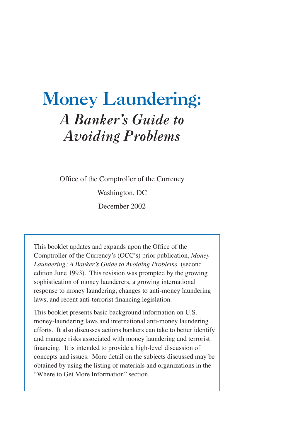# Money Laundering: *A Banker's Guide to Avoiding Problems*

Office of the Comptroller of the Currency Washington, DC December 2002

This booklet updates and expands upon the Office of the Comptroller of the Currency's (OCC's) prior publication, *Money Laundering: A Banker's Guide to Avoiding Problems* (second edition June 1993). This revision was prompted by the growing sophistication of money launderers, a growing international response to money laundering, changes to anti-money laundering laws, and recent anti-terrorist financing legislation.

This booklet presents basic background information on U.S. money-laundering laws and international anti-money laundering efforts. It also discusses actions bankers can take to better identify and manage risks associated with money laundering and terrorist financing. It is intended to provide a high-level discussion of concepts and issues. More detail on the subjects discussed may be obtained by using the listing of materials and organizations in the "Where to Get More Information" section.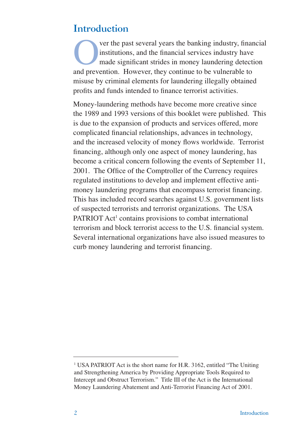# Introduction

Ver the past several years the banking industry, financial<br>institutions, and the financial services industry have<br>made significant strides in money laundering detection<br>and prevention. However, they continue to be vulnerab institutions, and the financial services industry have made significant strides in money laundering detection and prevention. However, they continue to be vulnerable to misuse by criminal elements for laundering illegally obtained profits and funds intended to finance terrorist activities.

Money-laundering methods have become more creative since the 1989 and 1993 versions of this booklet were published. This is due to the expansion of products and services offered, more complicated financial relationships, advances in technology, and the increased velocity of money flows worldwide. Terrorist financing, although only one aspect of money laundering, has become a critical concern following the events of September 11, 2001. The Office of the Comptroller of the Currency requires regulated institutions to develop and implement effective antimoney laundering programs that encompass terrorist financing. This has included record searches against U.S. government lists of suspected terrorists and terrorist organizations. The USA PATRIOT Act<sup>1</sup> contains provisions to combat international terrorism and block terrorist access to the U.S. financial system. Several international organizations have also issued measures to curb money laundering and terrorist financing.

<sup>&</sup>lt;sup>1</sup> USA PATRIOT Act is the short name for H.R. 3162, entitled "The Uniting and Strengthening America by Providing Appropriate Tools Required to Intercept and Obstruct Terrorism." Title III of the Act is the International Money Laundering Abatement and Anti-Terrorist Financing Act of 2001.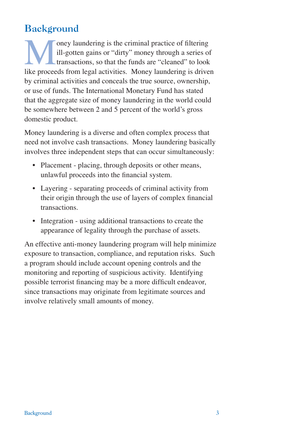# Background

Oney laundering is the criminal practice of filtering<br>ill-gotten gains or "dirty" money through a series of<br>transactions, so that the funds are "cleaned" to look<br>like proceeds from legal activities. Money laundering is dri ill-gotten gains or "dirty" money through a series of transactions, so that the funds are "cleaned" to look like proceeds from legal activities. Money laundering is driven by criminal activities and conceals the true source, ownership, or use of funds. The International Monetary Fund has stated that the aggregate size of money laundering in the world could be somewhere between 2 and 5 percent of the world's gross domestic product.

Money laundering is a diverse and often complex process that need not involve cash transactions. Money laundering basically involves three independent steps that can occur simultaneously:

- Placement placing, through deposits or other means, unlawful proceeds into the financial system.
- Layering separating proceeds of criminal activity from their origin through the use of layers of complex financial transactions.
- Integration using additional transactions to create the appearance of legality through the purchase of assets.

An effective anti-money laundering program will help minimize exposure to transaction, compliance, and reputation risks. Such a program should include account opening controls and the monitoring and reporting of suspicious activity. Identifying possible terrorist financing may be a more difficult endeavor, since transactions may originate from legitimate sources and involve relatively small amounts of money.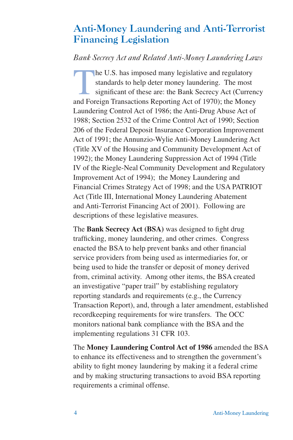# Anti-Money Laundering and Anti-Terrorist Financing Legislation

# *Bank Secrecy Act and Related Anti-Money Laundering Laws*

The U.S. has imposed many legislative and regulatory<br>standards to help deter money laundering. The most<br>significant of these are: the Bank Secrecy Act (Currer<br>and Foreign Transactions Reporting Act of 1970): the Money standards to help deter money laundering. The most significant of these are: the Bank Secrecy Act (Currency and Foreign Transactions Reporting Act of 1970); the Money Laundering Control Act of 1986; the Anti-Drug Abuse Act of 1988; Section 2532 of the Crime Control Act of 1990; Section 206 of the Federal Deposit Insurance Corporation Improvement Act of 1991; the Annunzio-Wylie Anti-Money Laundering Act (Title XV of the Housing and Community Development Act of 1992); the Money Laundering Suppression Act of 1994 (Title IV of the Riegle-Neal Community Development and Regulatory Improvement Act of 1994); the Money Laundering and Financial Crimes Strategy Act of 1998; and the USA PATRIOT Act (Title III, International Money Laundering Abatement and Anti-Terrorist Financing Act of 2001). Following are descriptions of these legislative measures.

The **Bank Secrecy Act (BSA)** was designed to fight drug trafficking, money laundering, and other crimes. Congress enacted the BSA to help prevent banks and other financial service providers from being used as intermediaries for, or being used to hide the transfer or deposit of money derived from, criminal activity. Among other items, the BSA created an investigative "paper trail" by establishing regulatory reporting standards and requirements (e.g., the Currency Transaction Report), and, through a later amendment, established recordkeeping requirements for wire transfers. The OCC monitors national bank compliance with the BSA and the implementing regulations 31 CFR 103.

The **Money Laundering Control Act of 1986** amended the BSA to enhance its effectiveness and to strengthen the government's ability to fight money laundering by making it a federal crime and by making structuring transactions to avoid BSA reporting requirements a criminal offense.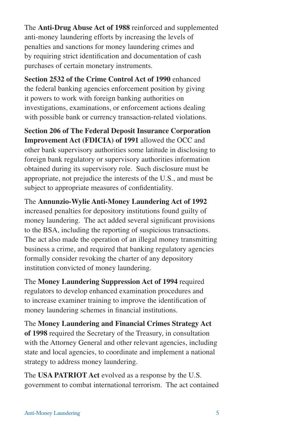The **Anti-Drug Abuse Act of 1988** reinforced and supplemented anti-money laundering efforts by increasing the levels of penalties and sanctions for money laundering crimes and by requiring strict identification and documentation of cash purchases of certain monetary instruments.

**Section 2532 of the Crime Control Act of 1990** enhanced the federal banking agencies enforcement position by giving it powers to work with foreign banking authorities on investigations, examinations, or enforcement actions dealing with possible bank or currency transaction-related violations.

**Section 206 of The Federal Deposit Insurance Corporation Improvement Act (FDICIA) of 1991** allowed the OCC and other bank supervisory authorities some latitude in disclosing to foreign bank regulatory or supervisory authorities information obtained during its supervisory role. Such disclosure must be appropriate, not prejudice the interests of the U.S., and must be subject to appropriate measures of confidentiality.

The **Annunzio-Wylie Anti-Money Laundering Act of 1992**  increased penalties for depository institutions found guilty of money laundering. The act added several significant provisions to the BSA, including the reporting of suspicious transactions. The act also made the operation of an illegal money transmitting business a crime, and required that banking regulatory agencies formally consider revoking the charter of any depository institution convicted of money laundering.

The **Money Laundering Suppression Act of 1994** required regulators to develop enhanced examination procedures and to increase examiner training to improve the identification of money laundering schemes in financial institutions.

The **Money Laundering and Financial Crimes Strategy Act of 1998** required the Secretary of the Treasury, in consultation with the Attorney General and other relevant agencies, including state and local agencies, to coordinate and implement a national strategy to address money laundering.

The **USA PATRIOT Act** evolved as a response by the U.S. government to combat international terrorism. The act contained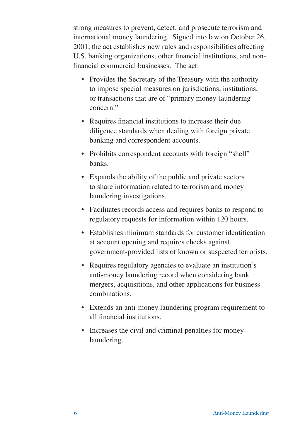strong measures to prevent, detect, and prosecute terrorism and international money laundering. Signed into law on October 26, 2001, the act establishes new rules and responsibilities affecting U.S. banking organizations, other financial institutions, and nonfinancial commercial businesses. The act:

- Provides the Secretary of the Treasury with the authority to impose special measures on jurisdictions, institutions, or transactions that are of "primary money-laundering concern."
- Requires financial institutions to increase their due diligence standards when dealing with foreign private banking and correspondent accounts.
- Prohibits correspondent accounts with foreign "shell" banks.
- Expands the ability of the public and private sectors to share information related to terrorism and money laundering investigations.
- Facilitates records access and requires banks to respond to regulatory requests for information within 120 hours.
- Establishes minimum standards for customer identification at account opening and requires checks against government-provided lists of known or suspected terrorists.
- Requires regulatory agencies to evaluate an institution's anti-money laundering record when considering bank mergers, acquisitions, and other applications for business combinations.
- Extends an anti-money laundering program requirement to all financial institutions.
- Increases the civil and criminal penalties for money laundering.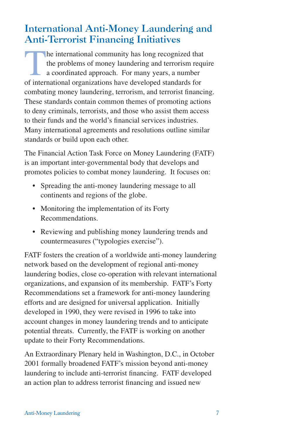# International Anti-Money Laundering and Anti-Terrorist Financing Initiatives

The international community has long recognized that<br>the problems of money laundering and terrorism requ<br>a coordinated approach. For many years, a number<br>of international organizations have developed standards for the problems of money laundering and terrorism require a coordinated approach. For many years, a number of international organizations have developed standards for combating money laundering, terrorism, and terrorist financing. These standards contain common themes of promoting actions to deny criminals, terrorists, and those who assist them access to their funds and the world's financial services industries. Many international agreements and resolutions outline similar standards or build upon each other.

The Financial Action Task Force on Money Laundering (FATF) is an important inter-governmental body that develops and promotes policies to combat money laundering. It focuses on:

- Spreading the anti-money laundering message to all continents and regions of the globe.
- Monitoring the implementation of its Forty Recommendations.
- Reviewing and publishing money laundering trends and countermeasures ("typologies exercise").

FATF fosters the creation of a worldwide anti-money laundering network based on the development of regional anti-money laundering bodies, close co-operation with relevant international organizations, and expansion of its membership. FATF's Forty Recommendations set a framework for anti-money laundering efforts and are designed for universal application. Initially developed in 1990, they were revised in 1996 to take into account changes in money laundering trends and to anticipate potential threats. Currently, the FATF is working on another update to their Forty Recommendations.

An Extraordinary Plenary held in Washington, D.C., in October 2001 formally broadened FATF's mission beyond anti-money laundering to include anti-terrorist financing. FATF developed an action plan to address terrorist financing and issued new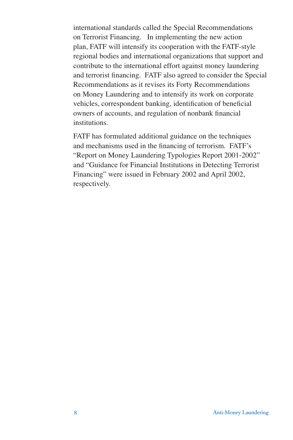international standards called the Special Recommendations on Terrorist Financing. In implementing the new action plan, FATF will intensify its cooperation with the FATF-style regional bodies and international organizations that support and contribute to the international effort against money laundering and terrorist financing. FATF also agreed to consider the Special Recommendations as it revises its Forty Recommendations on Money Laundering and to intensify its work on corporate vehicles, correspondent banking, identification of beneficial owners of accounts, and regulation of nonbank financial institutions.

FATF has formulated additional guidance on the techniques and mechanisms used in the financing of terrorism. FATF's "Report on Money Laundering Typologies Report 2001-2002" and "Guidance for Financial Institutions in Detecting Terrorist Financing" were issued in February 2002 and April 2002, respectively.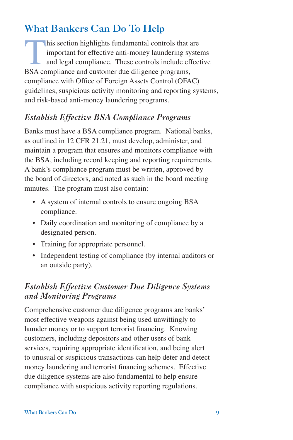# What Bankers Can Do To Help

his section highlights fundamental controls that are<br>important for effective anti-money laundering syste<br>and legal compliance. These controls include effect<br>RSA compliance and customer due diligence programs important for effective anti-money laundering systems and legal compliance. These controls include effective BSA compliance and customer due diligence programs, compliance with Office of Foreign Assets Control (OFAC) guidelines, suspicious activity monitoring and reporting systems, and risk-based anti-money laundering programs.

# *Establish Effective BSA Compliance Programs*

Banks must have a BSA compliance program. National banks, as outlined in 12 CFR 21.21, must develop, administer, and maintain a program that ensures and monitors compliance with the BSA, including record keeping and reporting requirements. A bank's compliance program must be written, approved by the board of directors, and noted as such in the board meeting minutes. The program must also contain:

- A system of internal controls to ensure ongoing BSA compliance.
- Daily coordination and monitoring of compliance by a designated person.
- Training for appropriate personnel.
- Independent testing of compliance (by internal auditors or an outside party).

# *Establish Effective Customer Due Diligence Systems and Monitoring Programs*

Comprehensive customer due diligence programs are banks' most effective weapons against being used unwittingly to launder money or to support terrorist financing. Knowing customers, including depositors and other users of bank services, requiring appropriate identification, and being alert to unusual or suspicious transactions can help deter and detect money laundering and terrorist financing schemes. Effective due diligence systems are also fundamental to help ensure compliance with suspicious activity reporting regulations.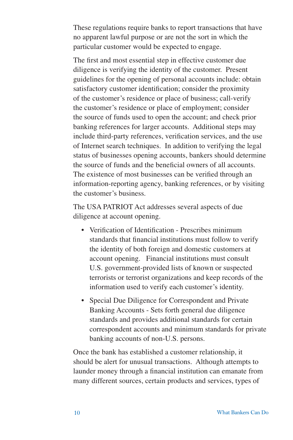These regulations require banks to report transactions that have no apparent lawful purpose or are not the sort in which the particular customer would be expected to engage.

The first and most essential step in effective customer due diligence is verifying the identity of the customer. Present guidelines for the opening of personal accounts include: obtain satisfactory customer identification; consider the proximity of the customer's residence or place of business; call-verify the customer's residence or place of employment; consider the source of funds used to open the account; and check prior banking references for larger accounts. Additional steps may include third-party references, verification services, and the use of Internet search techniques. In addition to verifying the legal status of businesses opening accounts, bankers should determine the source of funds and the beneficial owners of all accounts. The existence of most businesses can be verified through an information-reporting agency, banking references, or by visiting the customer's business.

The USA PATRIOT Act addresses several aspects of due diligence at account opening.

- Verification of Identification Prescribes minimum standards that financial institutions must follow to verify the identity of both foreign and domestic customers at account opening. Financial institutions must consult U.S. government-provided lists of known or suspected terrorists or terrorist organizations and keep records of the information used to verify each customer's identity.
- Special Due Diligence for Correspondent and Private Banking Accounts - Sets forth general due diligence standards and provides additional standards for certain correspondent accounts and minimum standards for private banking accounts of non-U.S. persons.

Once the bank has established a customer relationship, it should be alert for unusual transactions. Although attempts to launder money through a financial institution can emanate from many different sources, certain products and services, types of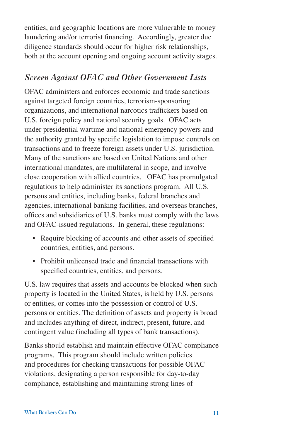entities, and geographic locations are more vulnerable to money laundering and/or terrorist financing. Accordingly, greater due diligence standards should occur for higher risk relationships, both at the account opening and ongoing account activity stages.

### *Screen Against OFAC and Other Government Lists*

OFAC administers and enforces economic and trade sanctions against targeted foreign countries, terrorism-sponsoring organizations, and international narcotics traffickers based on U.S. foreign policy and national security goals. OFAC acts under presidential wartime and national emergency powers and the authority granted by specific legislation to impose controls on transactions and to freeze foreign assets under U.S. jurisdiction. Many of the sanctions are based on United Nations and other international mandates, are multilateral in scope, and involve close cooperation with allied countries. OFAC has promulgated regulations to help administer its sanctions program. All U.S. persons and entities, including banks, federal branches and agencies, international banking facilities, and overseas branches, offices and subsidiaries of U.S. banks must comply with the laws and OFAC-issued regulations. In general, these regulations:

- Require blocking of accounts and other assets of specified countries, entities, and persons.
- Prohibit unlicensed trade and financial transactions with specified countries, entities, and persons.

U.S. law requires that assets and accounts be blocked when such property is located in the United States, is held by U.S. persons or entities, or comes into the possession or control of U.S. persons or entities. The definition of assets and property is broad and includes anything of direct, indirect, present, future, and contingent value (including all types of bank transactions).

Banks should establish and maintain effective OFAC compliance programs. This program should include written policies and procedures for checking transactions for possible OFAC violations, designating a person responsible for day-to-day compliance, establishing and maintaining strong lines of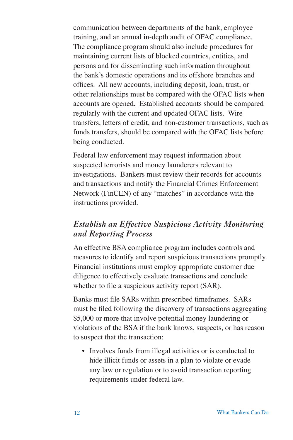communication between departments of the bank, employee training, and an annual in-depth audit of OFAC compliance. The compliance program should also include procedures for maintaining current lists of blocked countries, entities, and persons and for disseminating such information throughout the bank's domestic operations and its offshore branches and offices. All new accounts, including deposit, loan, trust, or other relationships must be compared with the OFAC lists when accounts are opened. Established accounts should be compared regularly with the current and updated OFAC lists. Wire transfers, letters of credit, and non-customer transactions, such as funds transfers, should be compared with the OFAC lists before being conducted.

Federal law enforcement may request information about suspected terrorists and money launderers relevant to investigations. Bankers must review their records for accounts and transactions and notify the Financial Crimes Enforcement Network (FinCEN) of any "matches" in accordance with the instructions provided.

### *Establish an Effective Suspicious Activity Monitoring and Reporting Process*

An effective BSA compliance program includes controls and measures to identify and report suspicious transactions promptly. Financial institutions must employ appropriate customer due diligence to effectively evaluate transactions and conclude whether to file a suspicious activity report (SAR).

Banks must file SARs within prescribed timeframes. SARs must be filed following the discovery of transactions aggregating \$5,000 or more that involve potential money laundering or violations of the BSA if the bank knows, suspects, or has reason to suspect that the transaction:

• Involves funds from illegal activities or is conducted to hide illicit funds or assets in a plan to violate or evade any law or regulation or to avoid transaction reporting requirements under federal law.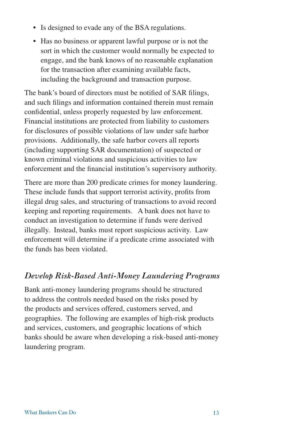- Is designed to evade any of the BSA regulations.
- Has no business or apparent lawful purpose or is not the sort in which the customer would normally be expected to engage, and the bank knows of no reasonable explanation for the transaction after examining available facts, including the background and transaction purpose.

The bank's board of directors must be notified of SAR filings, and such filings and information contained therein must remain confidential, unless properly requested by law enforcement. Financial institutions are protected from liability to customers for disclosures of possible violations of law under safe harbor provisions. Additionally, the safe harbor covers all reports (including supporting SAR documentation) of suspected or known criminal violations and suspicious activities to law enforcement and the financial institution's supervisory authority.

There are more than 200 predicate crimes for money laundering. These include funds that support terrorist activity, profits from illegal drug sales, and structuring of transactions to avoid record keeping and reporting requirements. A bank does not have to conduct an investigation to determine if funds were derived illegally. Instead, banks must report suspicious activity. Law enforcement will determine if a predicate crime associated with the funds has been violated.

# *Develop Risk-Based Anti-Money Laundering Programs*

Bank anti-money laundering programs should be structured to address the controls needed based on the risks posed by the products and services offered, customers served, and geographies. The following are examples of high-risk products and services, customers, and geographic locations of which banks should be aware when developing a risk-based anti-money laundering program.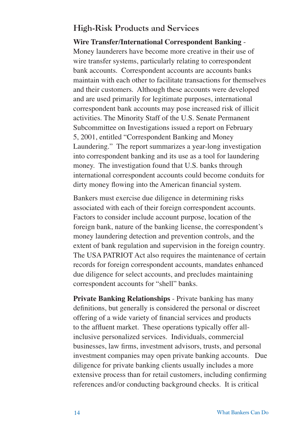## High-Risk Products and Services

#### **Wire Transfer/International Correspondent Banking** -

Money launderers have become more creative in their use of wire transfer systems, particularly relating to correspondent bank accounts. Correspondent accounts are accounts banks maintain with each other to facilitate transactions for themselves and their customers. Although these accounts were developed and are used primarily for legitimate purposes, international correspondent bank accounts may pose increased risk of illicit activities. The Minority Staff of the U.S. Senate Permanent Subcommittee on Investigations issued a report on February 5, 2001, entitled "Correspondent Banking and Money Laundering." The report summarizes a year-long investigation into correspondent banking and its use as a tool for laundering money. The investigation found that U.S. banks through international correspondent accounts could become conduits for dirty money flowing into the American financial system.

Bankers must exercise due diligence in determining risks associated with each of their foreign correspondent accounts. Factors to consider include account purpose, location of the foreign bank, nature of the banking license, the correspondent's money laundering detection and prevention controls, and the extent of bank regulation and supervision in the foreign country. The USA PATRIOT Act also requires the maintenance of certain records for foreign correspondent accounts, mandates enhanced due diligence for select accounts, and precludes maintaining correspondent accounts for "shell" banks.

**Private Banking Relationships** - Private banking has many definitions, but generally is considered the personal or discreet offering of a wide variety of financial services and products to the affluent market. These operations typically offer allinclusive personalized services. Individuals, commercial businesses, law firms, investment advisors, trusts, and personal investment companies may open private banking accounts. Due diligence for private banking clients usually includes a more extensive process than for retail customers, including confirming references and/or conducting background checks. It is critical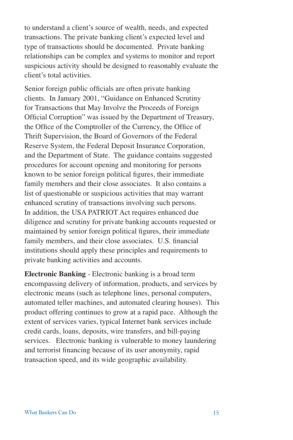to understand a client's source of wealth, needs, and expected transactions. The private banking client's expected level and type of transactions should be documented. Private banking relationships can be complex and systems to monitor and report suspicious activity should be designed to reasonably evaluate the client's total activities.

Senior foreign public officials are often private banking clients. In January 2001, "Guidance on Enhanced Scrutiny for Transactions that May Involve the Proceeds of Foreign Official Corruption" was issued by the Department of Treasury, the Office of the Comptroller of the Currency, the Office of Thrift Supervision, the Board of Governors of the Federal Reserve System, the Federal Deposit Insurance Corporation, and the Department of State. The guidance contains suggested procedures for account opening and monitoring for persons known to be senior foreign political figures, their immediate family members and their close associates. It also contains a list of questionable or suspicious activities that may warrant enhanced scrutiny of transactions involving such persons. In addition, the USA PATRIOT Act requires enhanced due diligence and scrutiny for private banking accounts requested or maintained by senior foreign political figures, their immediate family members, and their close associates. U.S. financial institutions should apply these principles and requirements to private banking activities and accounts.

**Electronic Banking** - Electronic banking is a broad term encompassing delivery of information, products, and services by electronic means (such as telephone lines, personal computers, automated teller machines, and automated clearing houses). This product offering continues to grow at a rapid pace. Although the extent of services varies, typical Internet bank services include credit cards, loans, deposits, wire transfers, and bill-paying services. Electronic banking is vulnerable to money laundering and terrorist financing because of its user anonymity, rapid transaction speed, and its wide geographic availability.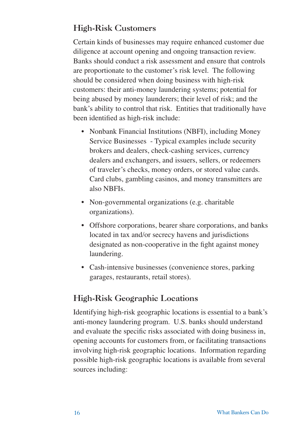# High-Risk Customers

Certain kinds of businesses may require enhanced customer due diligence at account opening and ongoing transaction review. Banks should conduct a risk assessment and ensure that controls are proportionate to the customer's risk level. The following should be considered when doing business with high-risk customers: their anti-money laundering systems; potential for being abused by money launderers; their level of risk; and the bank's ability to control that risk. Entities that traditionally have been identified as high-risk include:

- Nonbank Financial Institutions (NBFI), including Money Service Businesses - Typical examples include security brokers and dealers, check-cashing services, currency dealers and exchangers, and issuers, sellers, or redeemers of traveler's checks, money orders, or stored value cards. Card clubs, gambling casinos, and money transmitters are also NBFIs.
- Non-governmental organizations (e.g. charitable organizations).
- Offshore corporations, bearer share corporations, and banks located in tax and/or secrecy havens and jurisdictions designated as non-cooperative in the fight against money laundering.
- Cash-intensive businesses (convenience stores, parking garages, restaurants, retail stores).

# High-Risk Geographic Locations

Identifying high-risk geographic locations is essential to a bank's anti-money laundering program. U.S. banks should understand and evaluate the specific risks associated with doing business in, opening accounts for customers from, or facilitating transactions involving high-risk geographic locations. Information regarding possible high-risk geographic locations is available from several sources including: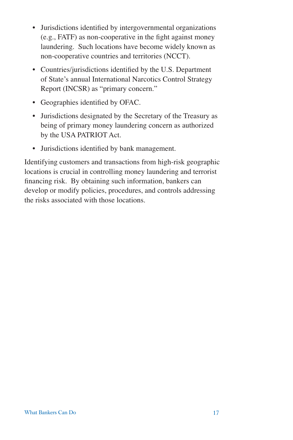- Jurisdictions identified by intergovernmental organizations (e.g., FATF) as non-cooperative in the fight against money laundering. Such locations have become widely known as non-cooperative countries and territories (NCCT).
- Countries/jurisdictions identified by the U.S. Department of State's annual International Narcotics Control Strategy Report (INCSR) as "primary concern."
- Geographies identified by OFAC.
- Jurisdictions designated by the Secretary of the Treasury as being of primary money laundering concern as authorized by the USA PATRIOT Act.
- Jurisdictions identified by bank management.

Identifying customers and transactions from high-risk geographic locations is crucial in controlling money laundering and terrorist financing risk. By obtaining such information, bankers can develop or modify policies, procedures, and controls addressing the risks associated with those locations.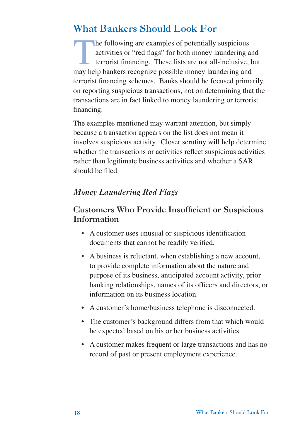# What Bankers Should Look For

The following are examples of potentially suspicious<br>activities or "red flags" for both money laundering a<br>terrorist financing. These lists are not all-inclusive,<br>may belo bankers recognize possible money laundering and activities or "red flags" for both money laundering and terrorist financing. These lists are not all-inclusive, but may help bankers recognize possible money laundering and terrorist financing schemes. Banks should be focused primarily on reporting suspicious transactions, not on determining that the transactions are in fact linked to money laundering or terrorist financing.

The examples mentioned may warrant attention, but simply because a transaction appears on the list does not mean it involves suspicious activity. Closer scrutiny will help determine whether the transactions or activities reflect suspicious activities rather than legitimate business activities and whether a SAR should be filed.

# *Money Laundering Red Flags*

# Customers Who Provide Insufficient or Suspicious Information

- A customer uses unusual or suspicious identification documents that cannot be readily verified.
- A business is reluctant, when establishing a new account, to provide complete information about the nature and purpose of its business, anticipated account activity, prior banking relationships, names of its officers and directors, or information on its business location.
- A customer's home/business telephone is disconnected.
- The customer's background differs from that which would be expected based on his or her business activities.
- A customer makes frequent or large transactions and has no record of past or present employment experience.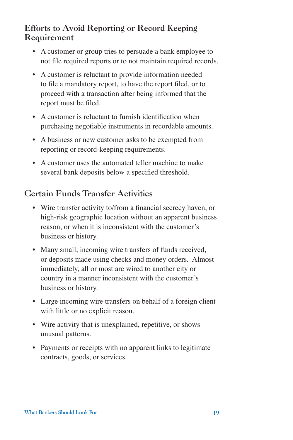# Efforts to Avoid Reporting or Record Keeping Requirement

- A customer or group tries to persuade a bank employee to not file required reports or to not maintain required records.
- A customer is reluctant to provide information needed to file a mandatory report, to have the report filed, or to proceed with a transaction after being informed that the report must be filed.
- A customer is reluctant to furnish identification when purchasing negotiable instruments in recordable amounts.
- A business or new customer asks to be exempted from reporting or record-keeping requirements.
- A customer uses the automated teller machine to make several bank deposits below a specified threshold.

# Certain Funds Transfer Activities

- Wire transfer activity to/from a financial secrecy haven, or high-risk geographic location without an apparent business reason, or when it is inconsistent with the customer's business or history.
- Many small, incoming wire transfers of funds received, or deposits made using checks and money orders. Almost immediately, all or most are wired to another city or country in a manner inconsistent with the customer's business or history.
- Large incoming wire transfers on behalf of a foreign client with little or no explicit reason.
- Wire activity that is unexplained, repetitive, or shows unusual patterns.
- Payments or receipts with no apparent links to legitimate contracts, goods, or services.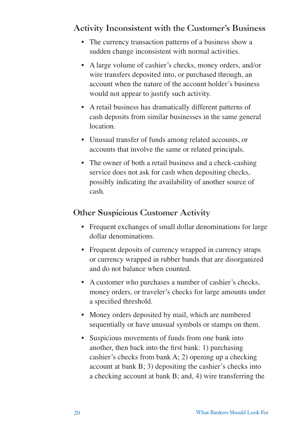# Activity Inconsistent with the Customer's Business

- The currency transaction patterns of a business show a sudden change inconsistent with normal activities.
- A large volume of cashier's checks, money orders, and/or wire transfers deposited into, or purchased through, an account when the nature of the account holder's business would not appear to justify such activity.
- A retail business has dramatically different patterns of cash deposits from similar businesses in the same general location.
- Unusual transfer of funds among related accounts, or accounts that involve the same or related principals.
- The owner of both a retail business and a check-cashing service does not ask for cash when depositing checks, possibly indicating the availability of another source of cash.

# Other Suspicious Customer Activity

- Frequent exchanges of small dollar denominations for large dollar denominations.
- Frequent deposits of currency wrapped in currency straps or currency wrapped in rubber bands that are disorganized and do not balance when counted.
- A customer who purchases a number of cashier's checks, money orders, or traveler's checks for large amounts under a specified threshold.
- Money orders deposited by mail, which are numbered sequentially or have unusual symbols or stamps on them.
- Suspicious movements of funds from one bank into another, then back into the first bank: 1) purchasing cashier's checks from bank A; 2) opening up a checking account at bank B; 3) depositing the cashier's checks into a checking account at bank B; and, 4) wire transferring the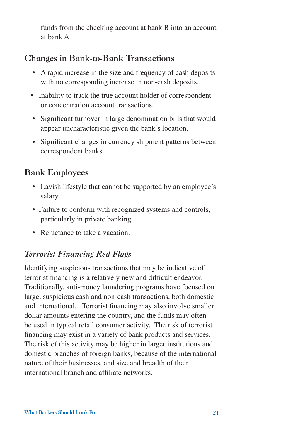funds from the checking account at bank B into an account at bank A.

# Changes in Bank-to-Bank Transactions

- A rapid increase in the size and frequency of cash deposits with no corresponding increase in non-cash deposits.
- Inability to track the true account holder of correspondent or concentration account transactions.
- Significant turnover in large denomination bills that would appear uncharacteristic given the bank's location.
- Significant changes in currency shipment patterns between correspondent banks.

# Bank Employees

- Lavish lifestyle that cannot be supported by an employee's salary.
- Failure to conform with recognized systems and controls, particularly in private banking.
- Reluctance to take a vacation.

# *Terrorist Financing Red Flags*

Identifying suspicious transactions that may be indicative of terrorist financing is a relatively new and difficult endeavor. Traditionally, anti-money laundering programs have focused on large, suspicious cash and non-cash transactions, both domestic and international. Terrorist financing may also involve smaller dollar amounts entering the country, and the funds may often be used in typical retail consumer activity. The risk of terrorist financing may exist in a variety of bank products and services. The risk of this activity may be higher in larger institutions and domestic branches of foreign banks, because of the international nature of their businesses, and size and breadth of their international branch and affiliate networks.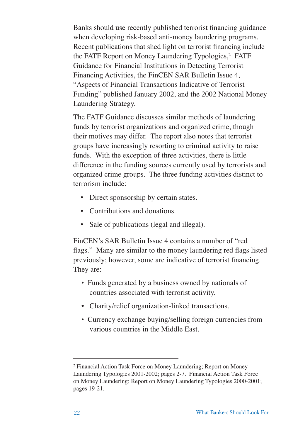Banks should use recently published terrorist financing guidance when developing risk-based anti-money laundering programs. Recent publications that shed light on terrorist financing include the FATF Report on Money Laundering Typologies,<sup>2</sup> FATF Guidance for Financial Institutions in Detecting Terrorist Financing Activities, the FinCEN SAR Bulletin Issue 4, "Aspects of Financial Transactions Indicative of Terrorist Funding" published January 2002, and the 2002 National Money Laundering Strategy.

The FATF Guidance discusses similar methods of laundering funds by terrorist organizations and organized crime, though their motives may differ. The report also notes that terrorist groups have increasingly resorting to criminal activity to raise funds. With the exception of three activities, there is little difference in the funding sources currently used by terrorists and organized crime groups. The three funding activities distinct to terrorism include:

- Direct sponsorship by certain states.
- Contributions and donations.
- Sale of publications (legal and illegal).

FinCEN's SAR Bulletin Issue 4 contains a number of "red flags." Many are similar to the money laundering red flags listed previously; however, some are indicative of terrorist financing. They are:

- Funds generated by a business owned by nationals of countries associated with terrorist activity.
- Charity/relief organization-linked transactions.
- Currency exchange buying/selling foreign currencies from various countries in the Middle East.

<sup>2</sup> Financial Action Task Force on Money Laundering; Report on Money Laundering Typologies 2001-2002; pages 2-7. Financial Action Task Force on Money Laundering; Report on Money Laundering Typologies 2000-2001; pages 19-21.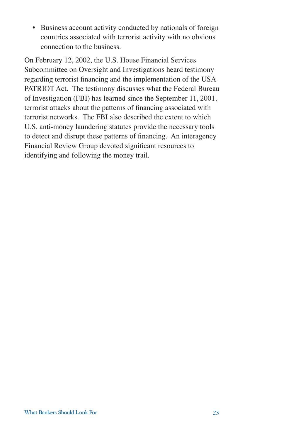• Business account activity conducted by nationals of foreign countries associated with terrorist activity with no obvious connection to the business.

On February 12, 2002, the U.S. House Financial Services Subcommittee on Oversight and Investigations heard testimony regarding terrorist financing and the implementation of the USA PATRIOT Act. The testimony discusses what the Federal Bureau of Investigation (FBI) has learned since the September 11, 2001, terrorist attacks about the patterns of financing associated with terrorist networks. The FBI also described the extent to which U.S. anti-money laundering statutes provide the necessary tools to detect and disrupt these patterns of financing. An interagency Financial Review Group devoted significant resources to identifying and following the money trail.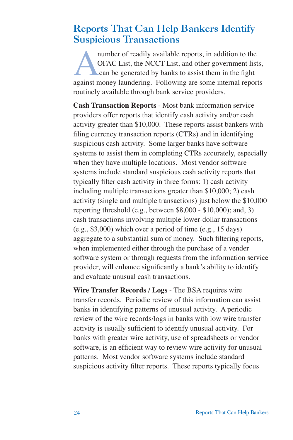# Reports That Can Help Bankers Identify Suspicious Transactions

number of readily available reports, in addition to the<br>OFAC List, the NCCT List, and other government list<br>can be generated by banks to assist them in the fight<br>against money laundering. Following are some internal report OFAC List, the NCCT List, and other government lists, can be generated by banks to assist them in the fight against money laundering. Following are some internal reports routinely available through bank service providers.

**Cash Transaction Reports** - Most bank information service providers offer reports that identify cash activity and/or cash activity greater than \$10,000. These reports assist bankers with filing currency transaction reports (CTRs) and in identifying suspicious cash activity. Some larger banks have software systems to assist them in completing CTRs accurately, especially when they have multiple locations. Most vendor software systems include standard suspicious cash activity reports that typically filter cash activity in three forms: 1) cash activity including multiple transactions greater than \$10,000; 2) cash activity (single and multiple transactions) just below the \$10,000 reporting threshold (e.g., between \$8,000 - \$10,000); and, 3) cash transactions involving multiple lower-dollar transactions (e.g., \$3,000) which over a period of time (e.g., 15 days) aggregate to a substantial sum of money. Such filtering reports, when implemented either through the purchase of a vender software system or through requests from the information service provider, will enhance significantly a bank's ability to identify and evaluate unusual cash transactions.

**Wire Transfer Records / Logs** - The BSA requires wire transfer records. Periodic review of this information can assist banks in identifying patterns of unusual activity. A periodic review of the wire records/logs in banks with low wire transfer activity is usually sufficient to identify unusual activity. For banks with greater wire activity, use of spreadsheets or vendor software, is an efficient way to review wire activity for unusual patterns. Most vendor software systems include standard suspicious activity filter reports. These reports typically focus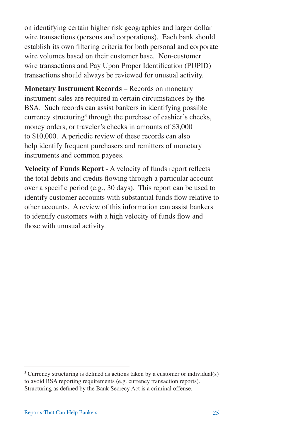on identifying certain higher risk geographies and larger dollar wire transactions (persons and corporations). Each bank should establish its own filtering criteria for both personal and corporate wire volumes based on their customer base. Non-customer wire transactions and Pay Upon Proper Identification (PUPID) transactions should always be reviewed for unusual activity.

**Monetary Instrument Records** – Records on monetary instrument sales are required in certain circumstances by the BSA. Such records can assist bankers in identifying possible currency structuring<sup>3</sup> through the purchase of cashier's checks, money orders, or traveler's checks in amounts of \$3,000 to \$10,000. A periodic review of these records can also help identify frequent purchasers and remitters of monetary instruments and common payees.

**Velocity of Funds Report** - A velocity of funds report reflects the total debits and credits flowing through a particular account over a specific period (e.g., 30 days). This report can be used to identify customer accounts with substantial funds flow relative to other accounts. A review of this information can assist bankers to identify customers with a high velocity of funds flow and those with unusual activity.

<sup>&</sup>lt;sup>3</sup> Currency structuring is defined as actions taken by a customer or individual(s) to avoid BSA reporting requirements (e.g. currency transaction reports). Structuring as defined by the Bank Secrecy Act is a criminal offense.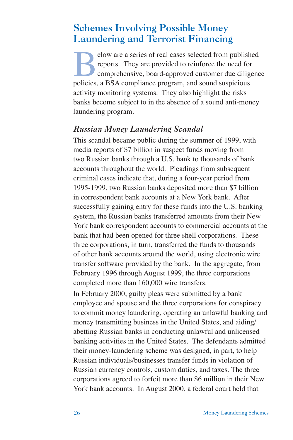# Schemes Involving Possible Money Laundering and Terrorist Financing

EV elow are a series of real cases selected from published<br>reports. They are provided to reinforce the need for<br>comprehensive, board-approved customer due diligence<br>provides a RSA compliance program, and sound suspicious reports. They are provided to reinforce the need for comprehensive, board-approved customer due diligence policies, a BSA compliance program, and sound suspicious activity monitoring systems. They also highlight the risks banks become subject to in the absence of a sound anti-money laundering program.

### *Russian Money Laundering Scandal*

This scandal became public during the summer of 1999, with media reports of \$7 billion in suspect funds moving from two Russian banks through a U.S. bank to thousands of bank accounts throughout the world. Pleadings from subsequent criminal cases indicate that, during a four-year period from 1995-1999, two Russian banks deposited more than \$7 billion in correspondent bank accounts at a New York bank. After successfully gaining entry for these funds into the U.S. banking system, the Russian banks transferred amounts from their New York bank correspondent accounts to commercial accounts at the bank that had been opened for three shell corporations. These three corporations, in turn, transferred the funds to thousands of other bank accounts around the world, using electronic wire transfer software provided by the bank. In the aggregate, from February 1996 through August 1999, the three corporations completed more than 160,000 wire transfers.

In February 2000, guilty pleas were submitted by a bank employee and spouse and the three corporations for conspiracy to commit money laundering, operating an unlawful banking and money transmitting business in the United States, and aiding/ abetting Russian banks in conducting unlawful and unlicensed banking activities in the United States. The defendants admitted their money-laundering scheme was designed, in part, to help Russian individuals/businesses transfer funds in violation of Russian currency controls, custom duties, and taxes. The three corporations agreed to forfeit more than \$6 million in their New York bank accounts. In August 2000, a federal court held that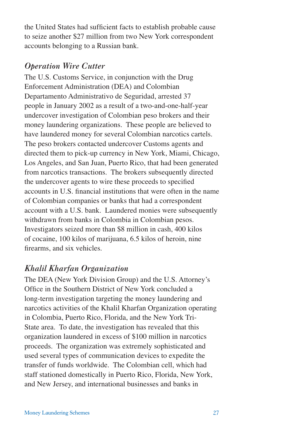the United States had sufficient facts to establish probable cause to seize another \$27 million from two New York correspondent accounts belonging to a Russian bank.

# *Operation Wire Cutter*

The U.S. Customs Service, in conjunction with the Drug Enforcement Administration (DEA) and Colombian Departamento Administrativo de Seguridad, arrested 37 people in January 2002 as a result of a two-and-one-half-year undercover investigation of Colombian peso brokers and their money laundering organizations. These people are believed to have laundered money for several Colombian narcotics cartels. The peso brokers contacted undercover Customs agents and directed them to pick-up currency in New York, Miami, Chicago, Los Angeles, and San Juan, Puerto Rico, that had been generated from narcotics transactions. The brokers subsequently directed the undercover agents to wire these proceeds to specified accounts in U.S. financial institutions that were often in the name of Colombian companies or banks that had a correspondent account with a U.S. bank. Laundered monies were subsequently withdrawn from banks in Colombia in Colombian pesos. Investigators seized more than \$8 million in cash, 400 kilos of cocaine, 100 kilos of marijuana, 6.5 kilos of heroin, nine firearms, and six vehicles.

# *Khalil Kharfan Organization*

The DEA (New York Division Group) and the U.S. Attorney's Office in the Southern District of New York concluded a long-term investigation targeting the money laundering and narcotics activities of the Khalil Kharfan Organization operating in Colombia, Puerto Rico, Florida, and the New York Tri-State area. To date, the investigation has revealed that this organization laundered in excess of \$100 million in narcotics proceeds. The organization was extremely sophisticated and used several types of communication devices to expedite the transfer of funds worldwide. The Colombian cell, which had staff stationed domestically in Puerto Rico, Florida, New York, and New Jersey, and international businesses and banks in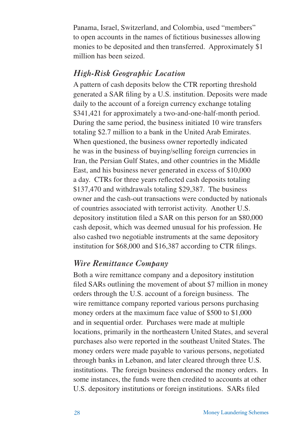Panama, Israel, Switzerland, and Colombia, used "members" to open accounts in the names of fictitious businesses allowing monies to be deposited and then transferred. Approximately \$1 million has been seized.

### *High-Risk Geographic Location*

A pattern of cash deposits below the CTR reporting threshold generated a SAR filing by a U.S. institution. Deposits were made daily to the account of a foreign currency exchange totaling \$341,421 for approximately a two-and-one-half-month period. During the same period, the business initiated 10 wire transfers totaling \$2.7 million to a bank in the United Arab Emirates. When questioned, the business owner reportedly indicated he was in the business of buying/selling foreign currencies in Iran, the Persian Gulf States, and other countries in the Middle East, and his business never generated in excess of \$10,000 a day. CTRs for three years reflected cash deposits totaling \$137,470 and withdrawals totaling \$29,387. The business owner and the cash-out transactions were conducted by nationals of countries associated with terrorist activity. Another U.S. depository institution filed a SAR on this person for an \$80,000 cash deposit, which was deemed unusual for his profession. He also cashed two negotiable instruments at the same depository institution for \$68,000 and \$16,387 according to CTR filings.

### *Wire Remittance Company*

Both a wire remittance company and a depository institution filed SARs outlining the movement of about \$7 million in money orders through the U.S. account of a foreign business. The wire remittance company reported various persons purchasing money orders at the maximum face value of \$500 to \$1,000 and in sequential order. Purchases were made at multiple locations, primarily in the northeastern United States, and several purchases also were reported in the southeast United States. The money orders were made payable to various persons, negotiated through banks in Lebanon, and later cleared through three U.S. institutions. The foreign business endorsed the money orders. In some instances, the funds were then credited to accounts at other U.S. depository institutions or foreign institutions. SARs filed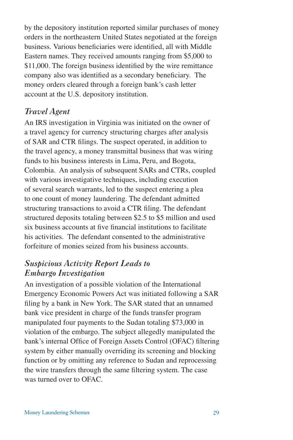by the depository institution reported similar purchases of money orders in the northeastern United States negotiated at the foreign business. Various beneficiaries were identified, all with Middle Eastern names. They received amounts ranging from \$5,000 to \$11,000. The foreign business identified by the wire remittance company also was identified as a secondary beneficiary. The money orders cleared through a foreign bank's cash letter account at the U.S. depository institution.

### *Travel Agent*

An IRS investigation in Virginia was initiated on the owner of a travel agency for currency structuring charges after analysis of SAR and CTR filings. The suspect operated, in addition to the travel agency, a money transmittal business that was wiring funds to his business interests in Lima, Peru, and Bogota, Colombia. An analysis of subsequent SARs and CTRs, coupled with various investigative techniques, including execution of several search warrants, led to the suspect entering a plea to one count of money laundering. The defendant admitted structuring transactions to avoid a CTR filing. The defendant structured deposits totaling between \$2.5 to \$5 million and used six business accounts at five financial institutions to facilitate his activities. The defendant consented to the administrative forfeiture of monies seized from his business accounts.

### *Suspicious Activity Report Leads to Embargo Investigation*

An investigation of a possible violation of the International Emergency Economic Powers Act was initiated following a SAR filing by a bank in New York. The SAR stated that an unnamed bank vice president in charge of the funds transfer program manipulated four payments to the Sudan totaling \$73,000 in violation of the embargo. The subject allegedly manipulated the bank's internal Office of Foreign Assets Control (OFAC) filtering system by either manually overriding its screening and blocking function or by omitting any reference to Sudan and reprocessing the wire transfers through the same filtering system. The case was turned over to OFAC.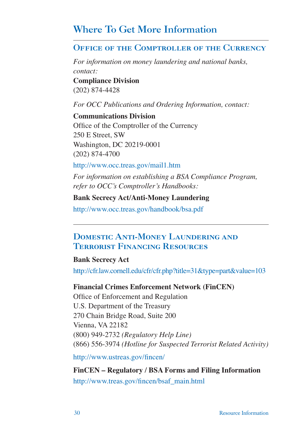# Where To Get More Information

### Office of the Comptroller of the Currency

*For information on money laundering and national banks, contact:*  **Compliance Division**  (202) 874-4428

*For OCC Publications and Ordering Information, contact:* 

**Communications Division**  Office of the Comptroller of the Currency 250 E Street, SW Washington, DC 20219-0001 (202) 874-4700

http://www.occ.treas.gov/mail1.htm

*For information on establishing a BSA Compliance Program, refer to OCC's Comptroller's Handbooks:* 

#### **Bank Secrecy Act/Anti-Money Laundering**

http://www.occ.treas.gov/handbook/bsa.pdf

## Domestic Anti-Money Laundering and Terrorist Financing Resources

#### **Bank Secrecy Act**

http://cfr.law.cornell.edu/cfr/cfr.php?title=31&type=part&value=103

#### **Financial Crimes Enforcement Network (FinCEN)**

Office of Enforcement and Regulation U.S. Department of the Treasury 270 Chain Bridge Road, Suite 200 Vienna, VA 22182 (800) 949-2732 *(Regulatory Help Line)*  (866) 556-3974 *(Hotline for Suspected Terrorist Related Activity)* 

http://www.ustreas.gov/fincen/

**FinCEN – Regulatory / BSA Forms and Filing Information**  http://www.treas.gov/fincen/bsaf\_main.html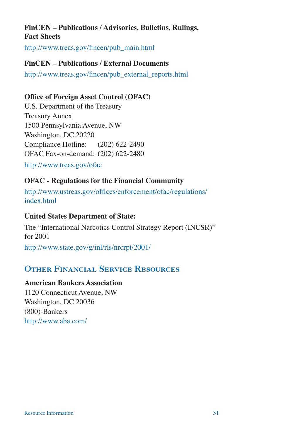### **FinCEN – Publications / Advisories, Bulletins, Rulings, Fact Sheets**

http://www.treas.gov/fincen/pub\_main.html

### **FinCEN – Publications / External Documents**

http://www.treas.gov/fincen/pub\_external\_reports.html

### **Office of Foreign Asset Control (OFAC)**

U.S. Department of the Treasury Treasury Annex 1500 Pennsylvania Avenue, NW Washington, DC 20220 Compliance Hotline:  $(202)$  622-2490 OFAC Fax-on-demand: (202) 622-2480

http://www.treas.gov/ofac

### **OFAC - Regulations for the Financial Community**

http://www.ustreas.gov/offices/enforcement/ofac/regulations/ index.html

### **United States Department of State:**

The "International Narcotics Control Strategy Report (INCSR)" for 2001 http://www.state.gov/g/inl/rls/nrcrpt/2001/

# Other Financial Service Resources

### **American Bankers Association**

1120 Connecticut Avenue, NW Washington, DC 20036 (800)-Bankers http://www.aba.com/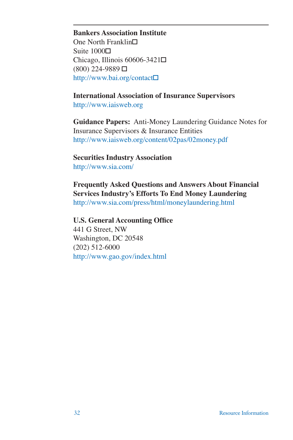#### **Bankers Association Institute**

One North Franklin $\square$ Suite  $1000\Box$ Chicago, Illinois  $60606 - 3421\Box$  $(800)$  224-9889  $\Box$ http://www.bai.org/contact•

**International Association of Insurance Supervisors**

http://www.iaisweb.org

**Guidance Papers:** Anti-Money Laundering Guidance Notes for Insurance Supervisors & Insurance Entities http://www.iaisweb.org/content/02pas/02money.pdf

**Securities Industry Association**  http://www.sia.com/

**Frequently Asked Questions and Answers About Financial Services Industry's Efforts To End Money Laundering** http://www.sia.com/press/html/moneylaundering.html

**U.S. General Accounting Office** 441 G Street, NW Washington, DC 20548 (202) 512-6000

http://www.gao.gov/index.html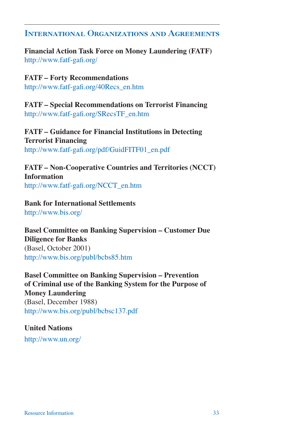### International Organizations and Agreements

### **Financial Action Task Force on Money Laundering (FATF)**  http://www.fatf-gafi.org/

### **FATF – Forty Recommendations**

http://www.fatf-gafi.org/40Recs\_en.htm

**FATF – Special Recommendations on Terrorist Financing**  http://www.fatf-gafi.org/SRecsTF\_en.htm

**FATF – Guidance for Financial Institutions in Detecting Terrorist Financing**  http://www.fatf-gafi.org/pdf/GuidFITF01\_en.pdf

**FATF – Non-Cooperative Countries and Territories (NCCT) Information**  http://www.fatf-gafi.org/NCCT\_en.htm

### **Bank for International Settlements**

http://www.bis.org/

#### **Basel Committee on Banking Supervision – Customer Due Diligence for Banks**

(Basel, October 2001) http://www.bis.org/publ/bcbs85.htm

**Basel Committee on Banking Supervision – Prevention of Criminal use of the Banking System for the Purpose of Money Laundering**  (Basel, December 1988) http://www.bis.org/publ/bcbsc137.pdf

### **United Nations**

http://www.un.org/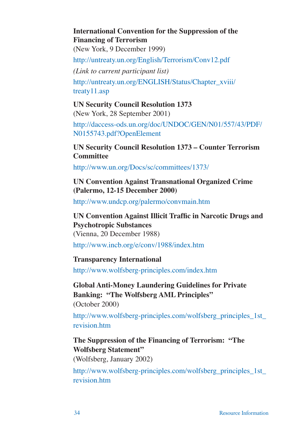### **International Convention for the Suppression of the Financing of Terrorism**

(New York, 9 December 1999)

http://untreaty.un.org/English/Terrorism/Conv12.pdf

*(Link to current participant list)* 

http://untreaty.un.org/ENGLISH/Status/Chapter\_xviii/ treaty11.asp

#### **UN Security Council Resolution 1373**  (New York, 28 September 2001)

http://daccess-ods.un.org/doc/UNDOC/GEN/N01/557/43/PDF/ N0155743.pdf?OpenElement

### **UN Security Council Resolution 1373 – Counter Terrorism Committee**

http://www.un.org/Docs/sc/committees/1373/

**UN Convention Against Transnational Organized Crime (Palermo, 12-15 December 2000)**

http://www.undcp.org/palermo/convmain.htm

**UN Convention Against Illicit Traffic in Narcotic Drugs and Psychotropic Substances** (Vienna, 20 December 1988)

http://www.incb.org/e/conv/1988/index.htm

### **Transparency International**

http://www.wolfsberg-principles.com/index.htm

**Global Anti-Money Laundering Guidelines for Private Banking: "The Wolfsberg AML Principles"** (October 2000)

http://www.wolfsberg-principles.com/wolfsberg\_principles\_1st revision.htm

### **The Suppression of the Financing of Terrorism: "The Wolfsberg Statement"**

(Wolfsberg, January 2002)

http://www.wolfsberg-principles.com/wolfsberg\_principles\_1st\_ revision.htm